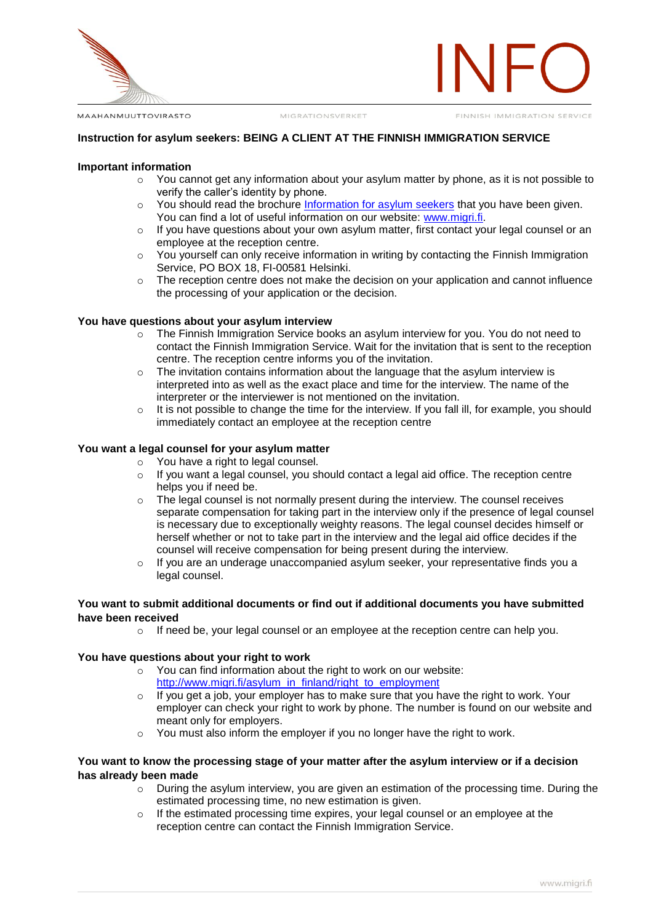

MAAHANMUUTTOVIRASTO

FINNISH IMMIGRATION SERVICE

### **Instruction for asylum seekers: BEING A CLIENT AT THE FINNISH IMMIGRATION SERVICE**

#### **Important information**

- $\circ$  You cannot get any information about your asylum matter by phone, as it is not possible to verify the caller's identity by phone.
- o You should read the brochure [Information for asylum seekers](http://www.migri.fi/download/16435_tietoa_tphakijalle_eng.pdf?049cbeab8d30d488) that you have been given. You can find a lot of useful information on our website: [www.migri.fi.](http://www.migri.fi/)
- o If you have questions about your own asylum matter, first contact your legal counsel or an employee at the reception centre.
- $\circ$  You yourself can only receive information in writing by contacting the Finnish Immigration Service, PO BOX 18, FI-00581 Helsinki.
- o The reception centre does not make the decision on your application and cannot influence the processing of your application or the decision.

#### **You have questions about your asylum interview**

- o The Finnish Immigration Service books an asylum interview for you. You do not need to contact the Finnish Immigration Service. Wait for the invitation that is sent to the reception centre. The reception centre informs you of the invitation.
- $\circ$  The invitation contains information about the language that the asylum interview is interpreted into as well as the exact place and time for the interview. The name of the interpreter or the interviewer is not mentioned on the invitation.
- $\circ$  It is not possible to change the time for the interview. If you fall ill, for example, you should immediately contact an employee at the reception centre

# **You want a legal counsel for your asylum matter**

- $\circ$  You have a right to legal counsel.
- $\circ$  If you want a legal counsel, you should contact a legal aid office. The reception centre helps you if need be.
- $\circ$  The legal counsel is not normally present during the interview. The counsel receives separate compensation for taking part in the interview only if the presence of legal counsel is necessary due to exceptionally weighty reasons. The legal counsel decides himself or herself whether or not to take part in the interview and the legal aid office decides if the counsel will receive compensation for being present during the interview.
- $\circ$  If you are an underage unaccompanied asylum seeker, your representative finds you a legal counsel.

### **You want to submit additional documents or find out if additional documents you have submitted have been received**

 $\circ$  If need be, your legal counsel or an employee at the reception centre can help you.

### **You have questions about your right to work**

- o You can find information about the right to work on our website: [http://www.migri.fi/asylum\\_in\\_finland/right\\_to\\_employment](http://www.migri.fi/asylum_in_finland/right_to_employment)
- $\circ$  If you get a job, your employer has to make sure that you have the right to work. Your employer can check your right to work by phone. The number is found on our website and meant only for employers.
- o You must also inform the employer if you no longer have the right to work.

## **You want to know the processing stage of your matter after the asylum interview or if a decision has already been made**

- $\circ$  During the asylum interview, you are given an estimation of the processing time. During the estimated processing time, no new estimation is given.
- $\circ$  If the estimated processing time expires, your legal counsel or an employee at the reception centre can contact the Finnish Immigration Service.